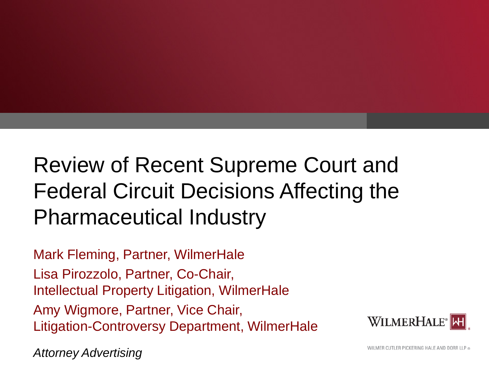# Review of Recent Supreme Court and Federal Circuit Decisions Affecting the Pharmaceutical Industry

Mark Fleming, Partner, WilmerHale Lisa Pirozzolo, Partner, Co-Chair, Intellectual Property Litigation, WilmerHale Amy Wigmore, Partner, Vice Chair, Litigation-Controversy Department, WilmerHale

WILMERHALE<sup>®</sup>MH

*Attorney Advertising*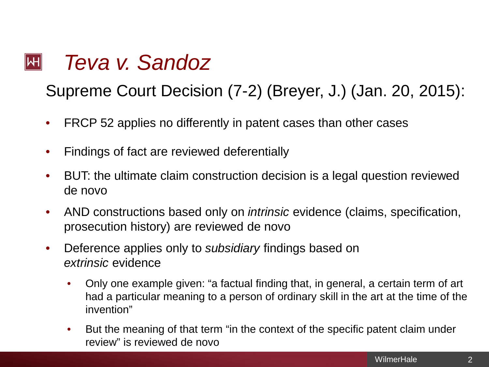#### *Teva v. Sandoz*   $\mathsf{|\mathsf{H}|}$

Supreme Court Decision (7-2) (Breyer, J.) (Jan. 20, 2015):

- FRCP 52 applies no differently in patent cases than other cases
- Findings of fact are reviewed deferentially
- BUT: the ultimate claim construction decision is a legal question reviewed de novo
- AND constructions based only on *intrinsic* evidence (claims, specification, prosecution history) are reviewed de novo
- Deference applies only to *subsidiary* findings based on *extrinsic* evidence
	- Only one example given: "a factual finding that, in general, a certain term of art had a particular meaning to a person of ordinary skill in the art at the time of the invention"
	- But the meaning of that term "in the context of the specific patent claim under review" is reviewed de novo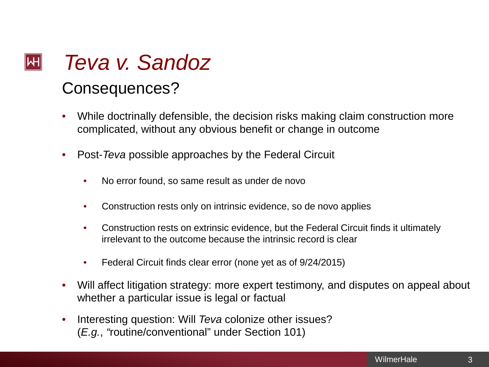### *Teva v. Sandoz*   $\mathsf{|\mathsf{H}|}$ Consequences?

- While doctrinally defensible, the decision risks making claim construction more complicated, without any obvious benefit or change in outcome
- Post-*Teva* possible approaches by the Federal Circuit
	- No error found, so same result as under de novo
	- Construction rests only on intrinsic evidence, so de novo applies
	- Construction rests on extrinsic evidence, but the Federal Circuit finds it ultimately irrelevant to the outcome because the intrinsic record is clear
	- Federal Circuit finds clear error (none yet as of 9/24/2015)
- Will affect litigation strategy: more expert testimony, and disputes on appeal about whether a particular issue is legal or factual
- Interesting question: Will *Teva* colonize other issues? (*E.g.*, *"*routine/conventional" under Section 101)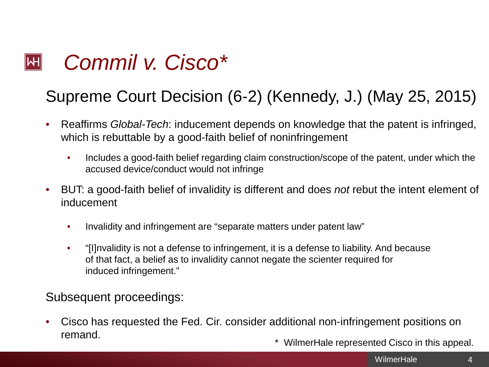#### *Commil v. Cisco\**  $\left\Vert \mathsf{H}\right\Vert$

## Supreme Court Decision (6-2) (Kennedy, J.) (May 25, 2015)

- Reaffirms *Global-Tech*: inducement depends on knowledge that the patent is infringed, which is rebuttable by a good-faith belief of noninfringement
	- Includes a good-faith belief regarding claim construction/scope of the patent, under which the accused device/conduct would not infringe
- BUT: a good-faith belief of invalidity is different and does *not* rebut the intent element of inducement
	- Invalidity and infringement are "separate matters under patent law"
	- "[I]nvalidity is not a defense to infringement, it is a defense to liability. And because of that fact, a belief as to invalidity cannot negate the scienter required for induced infringement."

Subsequent proceedings:

- Cisco has requested the Fed. Cir. consider additional non-infringement positions on remand.
	- \* WilmerHale represented Cisco in this appeal.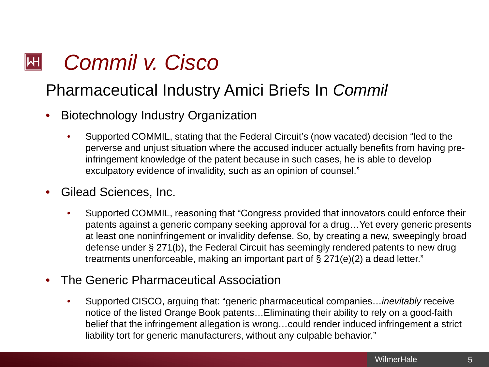#### *Commil v. Cisco*  $\left\Vert \mathsf{H}\right\Vert$

## Pharmaceutical Industry Amici Briefs In *Commil*

- Biotechnology Industry Organization
	- Supported COMMIL, stating that the Federal Circuit's (now vacated) decision "led to the perverse and unjust situation where the accused inducer actually benefits from having preinfringement knowledge of the patent because in such cases, he is able to develop exculpatory evidence of invalidity, such as an opinion of counsel."
- Gilead Sciences, Inc.
	- Supported COMMIL, reasoning that "Congress provided that innovators could enforce their patents against a generic company seeking approval for a drug…Yet every generic presents at least one noninfringement or invalidity defense. So, by creating a new, sweepingly broad defense under § 271(b), the Federal Circuit has seemingly rendered patents to new drug treatments unenforceable, making an important part of § 271(e)(2) a dead letter."
- The Generic Pharmaceutical Association
	- Supported CISCO, arguing that: "generic pharmaceutical companies…*inevitably* receive notice of the listed Orange Book patents…Eliminating their ability to rely on a good-faith belief that the infringement allegation is wrong…could render induced infringement a strict liability tort for generic manufacturers, without any culpable behavior."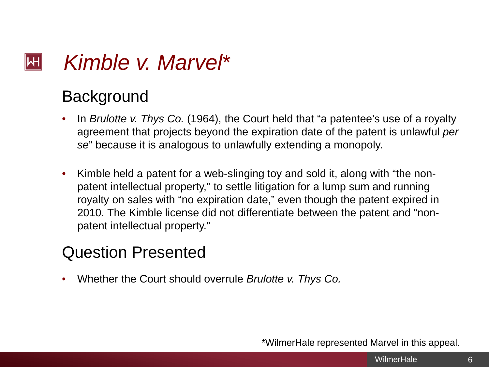#### *Kimble v. Marvel*\*  $\left\Vert \mathsf{H}\right\Vert$

## **Background**

- In *Brulotte v. Thys Co.* (1964), the Court held that "a patentee's use of a royalty agreement that projects beyond the expiration date of the patent is unlawful *per se*" because it is analogous to unlawfully extending a monopoly.
- Kimble held a patent for a web-slinging toy and sold it, along with "the nonpatent intellectual property," to settle litigation for a lump sum and running royalty on sales with "no expiration date," even though the patent expired in 2010. The Kimble license did not differentiate between the patent and "nonpatent intellectual property."

## Question Presented

• Whether the Court should overrule *Brulotte v. Thys Co.*

\*WilmerHale represented Marvel in this appeal.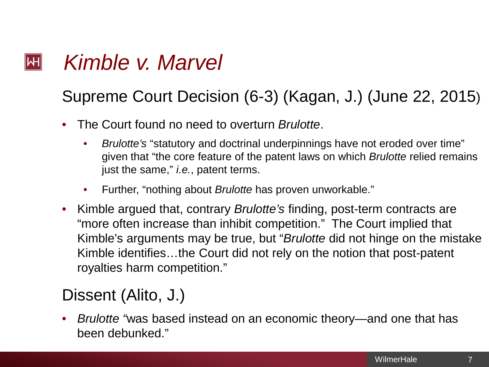#### *Kimble v. Marvel*  $\left\Vert \mathsf{H}\right\Vert$

## Supreme Court Decision (6-3) (Kagan, J.) (June 22, 2015)

- The Court found no need to overturn *Brulotte*.
	- *Brulotte's* "statutory and doctrinal underpinnings have not eroded over time" given that "the core feature of the patent laws on which *Brulotte* relied remains just the same," *i.e.*, patent terms.
	- Further, "nothing about *Brulotte* has proven unworkable."
- Kimble argued that, contrary *Brulotte's* finding, post-term contracts are "more often increase than inhibit competition." The Court implied that Kimble's arguments may be true, but "*Brulotte* did not hinge on the mistake Kimble identifies…the Court did not rely on the notion that post-patent royalties harm competition."

## Dissent (Alito, J.)

• *Brulotte "*was based instead on an economic theory—and one that has been debunked."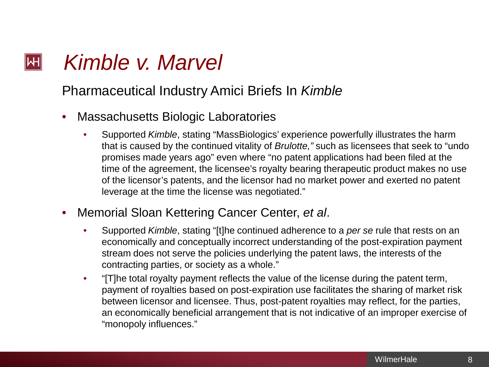#### *Kimble v. Marvel*  $\mathsf{|\mathsf{H}|}$

Pharmaceutical Industry Amici Briefs In *Kimble*

- Massachusetts Biologic Laboratories
	- Supported *Kimble*, stating "MassBiologics' experience powerfully illustrates the harm that is caused by the continued vitality of *Brulotte,"* such as licensees that seek to "undo promises made years ago" even where "no patent applications had been filed at the time of the agreement, the licensee's royalty bearing therapeutic product makes no use of the licensor's patents, and the licensor had no market power and exerted no patent leverage at the time the license was negotiated."
- Memorial Sloan Kettering Cancer Center, *et al*.
	- Supported *Kimble*, stating "[t]he continued adherence to a *per se* rule that rests on an economically and conceptually incorrect understanding of the post-expiration payment stream does not serve the policies underlying the patent laws, the interests of the contracting parties, or society as a whole."
	- "[T]he total royalty payment reflects the value of the license during the patent term, payment of royalties based on post-expiration use facilitates the sharing of market risk between licensor and licensee. Thus, post-patent royalties may reflect, for the parties, an economically beneficial arrangement that is not indicative of an improper exercise of "monopoly influences."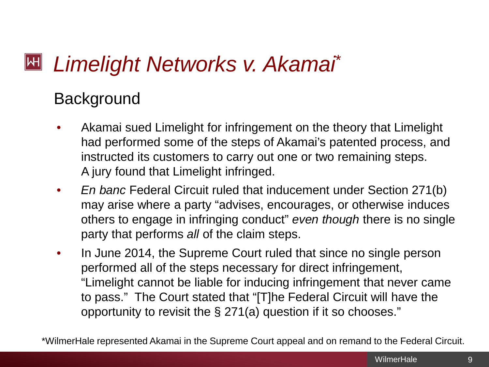#### $\mathsf{H}$ *Limelight Networks v. Akamai*\*

## **Background**

- Akamai sued Limelight for infringement on the theory that Limelight had performed some of the steps of Akamai's patented process, and instructed its customers to carry out one or two remaining steps. A jury found that Limelight infringed.
- *En banc* Federal Circuit ruled that inducement under Section 271(b) may arise where a party "advises, encourages, or otherwise induces others to engage in infringing conduct" *even though* there is no single party that performs *all* of the claim steps.
- In June 2014, the Supreme Court ruled that since no single person performed all of the steps necessary for direct infringement, "Limelight cannot be liable for inducing infringement that never came to pass." The Court stated that "[T]he Federal Circuit will have the opportunity to revisit the § 271(a) question if it so chooses."

\*WilmerHale represented Akamai in the Supreme Court appeal and on remand to the Federal Circuit.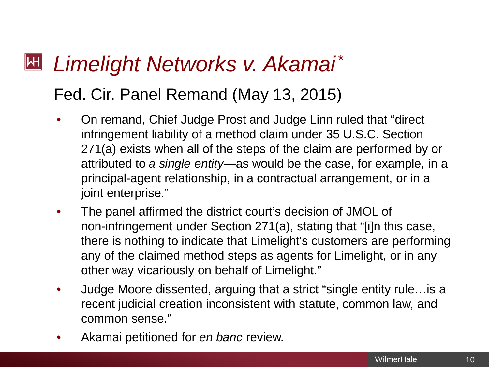### $|\mathsf{H}|$ *Limelight Networks v. Akamai*\*

## Fed. Cir. Panel Remand (May 13, 2015)

- On remand, Chief Judge Prost and Judge Linn ruled that "direct infringement liability of a method claim under 35 U.S.C. Section 271(a) exists when all of the steps of the claim are performed by or attributed to *a single entity*—as would be the case, for example, in a principal-agent relationship, in a contractual arrangement, or in a joint enterprise."
- The panel affirmed the district court's decision of JMOL of non-infringement under Section 271(a), stating that "[i]n this case, there is nothing to indicate that Limelight's customers are performing any of the claimed method steps as agents for Limelight, or in any other way vicariously on behalf of Limelight."
- Judge Moore dissented, arguing that a strict "single entity rule…is a recent judicial creation inconsistent with statute, common law, and common sense."
- Akamai petitioned for *en banc* review.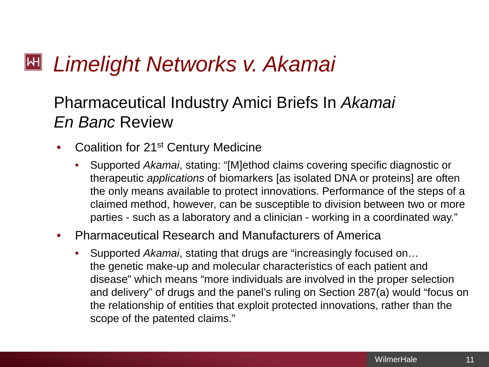#### $\mathsf{H}$ *Limelight Networks v. Akamai*

## Pharmaceutical Industry Amici Briefs In *Akamai En Banc* Review

- Coalition for 21st Century Medicine
	- Supported *Akamai*, stating: "[M]ethod claims covering specific diagnostic or therapeutic *applications* of biomarkers [as isolated DNA or proteins] are often the only means available to protect innovations. Performance of the steps of a claimed method, however, can be susceptible to division between two or more parties - such as a laboratory and a clinician - working in a coordinated way."

### • Pharmaceutical Research and Manufacturers of America

• Supported *Akamai*, stating that drugs are "increasingly focused on… the genetic make-up and molecular characteristics of each patient and disease" which means "more individuals are involved in the proper selection and delivery" of drugs and the panel's ruling on Section 287(a) would "focus on the relationship of entities that exploit protected innovations, rather than the scope of the patented claims."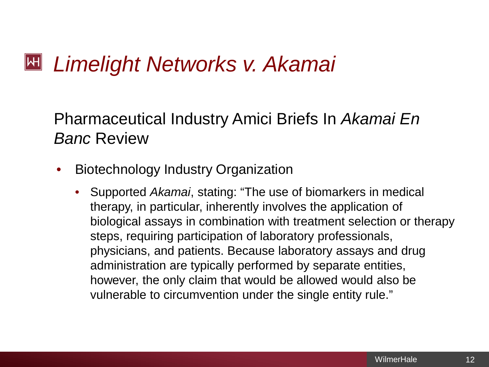# *Limelight Networks v. Akamai*

Pharmaceutical Industry Amici Briefs In *Akamai En Banc* Review

- Biotechnology Industry Organization
	- Supported *Akamai*, stating: "The use of biomarkers in medical therapy, in particular, inherently involves the application of biological assays in combination with treatment selection or therapy steps, requiring participation of laboratory professionals, physicians, and patients. Because laboratory assays and drug administration are typically performed by separate entities, however, the only claim that would be allowed would also be vulnerable to circumvention under the single entity rule."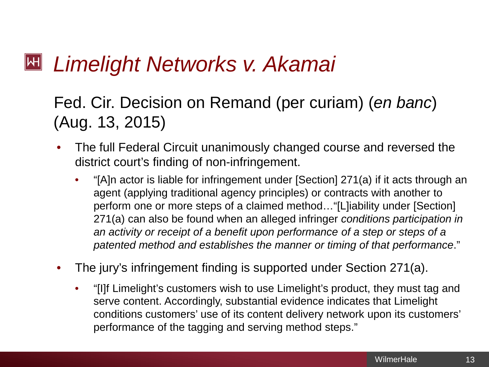#### $|\mathsf{H}|$ *Limelight Networks v. Akamai*

## Fed. Cir. Decision on Remand (per curiam) (*en banc*) (Aug. 13, 2015)

- The full Federal Circuit unanimously changed course and reversed the district court's finding of non-infringement.
	- "[A]n actor is liable for infringement under [Section] 271(a) if it acts through an agent (applying traditional agency principles) or contracts with another to perform one or more steps of a claimed method…"[L]iability under [Section] 271(a) can also be found when an alleged infringer *conditions participation in an activity or receipt of a benefit upon performance of a step or steps of a patented method and establishes the manner or timing of that performance*."
- The jury's infringement finding is supported under Section 271(a).
	- "[I]f Limelight's customers wish to use Limelight's product, they must tag and serve content. Accordingly, substantial evidence indicates that Limelight conditions customers' use of its content delivery network upon its customers' performance of the tagging and serving method steps."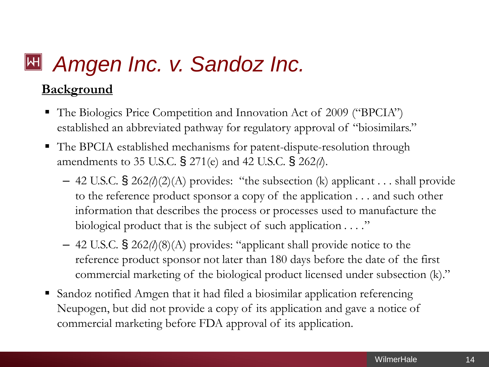# *Amgen Inc. v. Sandoz Inc.*

### **Background**

- The Biologics Price Competition and Innovation Act of 2009 ("BPCIA") established an abbreviated pathway for regulatory approval of "biosimilars."
- The BPCIA established mechanisms for patent-dispute-resolution through amendments to 35 U.S.C. § 271(e) and 42 U.S.C. § 262*(l*).
	- 42 U.S.C. § 262*(l*)(2)(A) provides: "the subsection (k) applicant . . . shall provide to the reference product sponsor a copy of the application . . . and such other information that describes the process or processes used to manufacture the biological product that is the subject of such application *. . . .*"
	- 42 U.S.C. § 262*(l*)(8)(A) provides: "applicant shall provide notice to the reference product sponsor not later than 180 days before the date of the first commercial marketing of the biological product licensed under subsection (k)."
- Sandoz notified Amgen that it had filed a biosimilar application referencing Neupogen, but did not provide a copy of its application and gave a notice of commercial marketing before FDA approval of its application.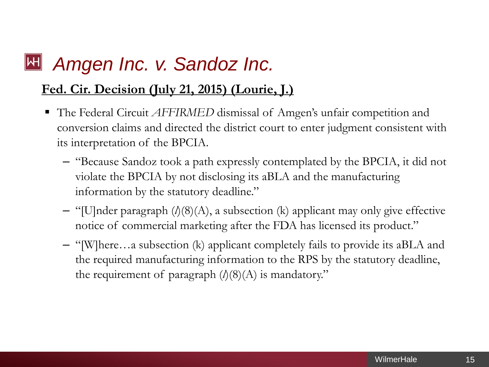#### *Amgen Inc. v. Sandoz Inc.*  $\mathsf{|\mathsf{H}|}$

### **Fed. Cir. Decision (July 21, 2015) (Lourie, J.)**

- The Federal Circuit *AFFIRMED* dismissal of Amgen's unfair competition and conversion claims and directed the district court to enter judgment consistent with its interpretation of the BPCIA.
	- "Because Sandoz took a path expressly contemplated by the BPCIA, it did not violate the BPCIA by not disclosing its aBLA and the manufacturing information by the statutory deadline."
	- "[U]nder paragraph (*l*)(8)(A), a subsection (k) applicant may only give effective notice of commercial marketing after the FDA has licensed its product."
	- "[W]here…a subsection (k) applicant completely fails to provide its aBLA and the required manufacturing information to the RPS by the statutory deadline, the requirement of paragraph  $(l)(8)(A)$  is mandatory."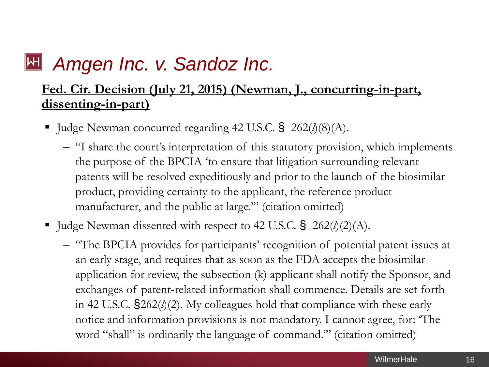# *Amgen Inc. v. Sandoz Inc.*

### **Fed. Cir. Decision (July 21, 2015) (Newman, J., concurring-in-part, dissenting-in-part)**

- Judge Newman concurred regarding 42 U.S.C. § 262( $\delta$ )(8)(A).
	- "I share the court's interpretation of this statutory provision, which implements the purpose of the BPCIA 'to ensure that litigation surrounding relevant patents will be resolved expeditiously and prior to the launch of the biosimilar product, providing certainty to the applicant, the reference product manufacturer, and the public at large."" (citation omitted)
- Judge Newman dissented with respect to 42 U.S.C. § 262( $\delta$ (2)(A).
	- "The BPCIA provides for participants' recognition of potential patent issues at an early stage, and requires that as soon as the FDA accepts the biosimilar application for review, the subsection (k) applicant shall notify the Sponsor, and exchanges of patent-related information shall commence. Details are set forth in 42 U.S.C. §262(*l*)(2). My colleagues hold that compliance with these early notice and information provisions is not mandatory. I cannot agree, for: 'The word "shall" is ordinarily the language of command.'" (citation omitted)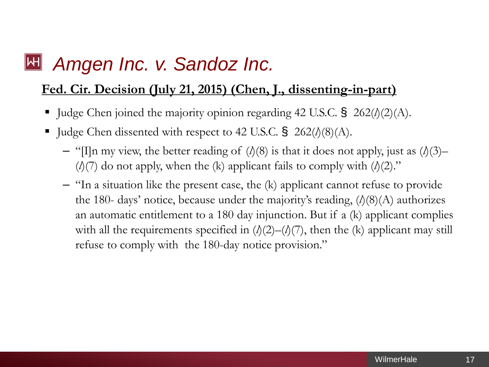#### $\mathsf{|\mathsf{H}|}$ *Amgen Inc. v. Sandoz Inc.*

### **Fed. Cir. Decision (July 21, 2015) (Chen, J., dissenting-in-part)**

- Judge Chen joined the majority opinion regarding 42 U.S.C. § 262( $\delta$ )(2)(A).
- Judge Chen dissented with respect to 42 U.S.C. § 262( $\delta$ (8)(A).
	- "[I]n my view, the better reading of  $(\lambda)(8)$  is that it does not apply, just as  $(\lambda)(3)$   $(\lambda(7)$  do not apply, when the (k) applicant fails to comply with  $(\lambda(2))$ ."
	- "In a situation like the present case, the (k) applicant cannot refuse to provide the 180- days' notice, because under the majority's reading,  $(l)(8)(A)$  authorizes an automatic entitlement to a 180 day injunction. But if a (k) applicant complies with all the requirements specified in  $(l)(2)$ – $(l)(7)$ , then the (k) applicant may still refuse to comply with the 180-day notice provision."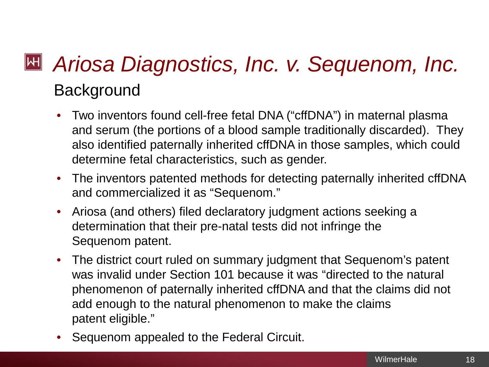# *Ariosa Diagnostics, Inc. v. Sequenom, Inc.* **Background**

- Two inventors found cell-free fetal DNA ("cffDNA") in maternal plasma and serum (the portions of a blood sample traditionally discarded). They also identified paternally inherited cffDNA in those samples, which could determine fetal characteristics, such as gender.
- The inventors patented methods for detecting paternally inherited cffDNA and commercialized it as "Sequenom."
- Ariosa (and others) filed declaratory judgment actions seeking a determination that their pre-natal tests did not infringe the Sequenom patent.
- The district court ruled on summary judgment that Sequenom's patent was invalid under Section 101 because it was "directed to the natural phenomenon of paternally inherited cffDNA and that the claims did not add enough to the natural phenomenon to make the claims patent eligible."
- Sequenom appealed to the Federal Circuit.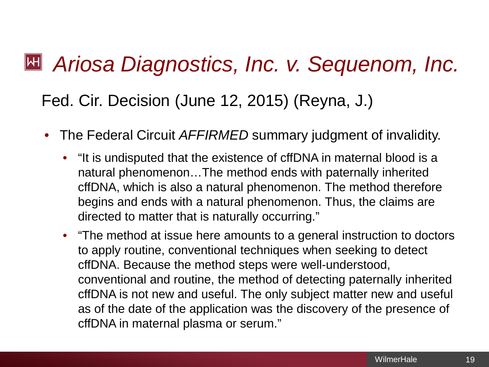# *Ariosa Diagnostics, Inc. v. Sequenom, Inc.*

## Fed. Cir. Decision (June 12, 2015) (Reyna, J.)

- The Federal Circuit *AFFIRMED* summary judgment of invalidity.
	- "It is undisputed that the existence of cffDNA in maternal blood is a natural phenomenon…The method ends with paternally inherited cffDNA, which is also a natural phenomenon. The method therefore begins and ends with a natural phenomenon. Thus, the claims are directed to matter that is naturally occurring."
	- "The method at issue here amounts to a general instruction to doctors to apply routine, conventional techniques when seeking to detect cffDNA. Because the method steps were well-understood, conventional and routine, the method of detecting paternally inherited cffDNA is not new and useful. The only subject matter new and useful as of the date of the application was the discovery of the presence of cffDNA in maternal plasma or serum."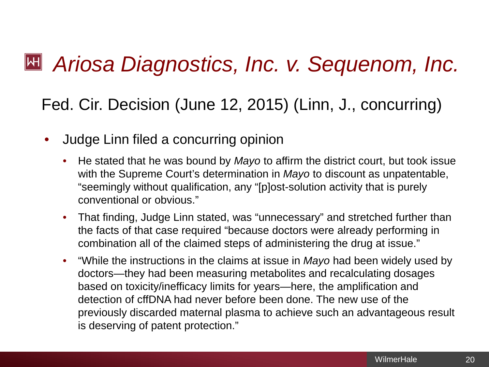# *Ariosa Diagnostics, Inc. v. Sequenom, Inc.*

Fed. Cir. Decision (June 12, 2015) (Linn, J., concurring)

- Judge Linn filed a concurring opinion
	- He stated that he was bound by *Mayo* to affirm the district court, but took issue with the Supreme Court's determination in *Mayo* to discount as unpatentable, "seemingly without qualification, any "[p]ost-solution activity that is purely conventional or obvious."
	- That finding, Judge Linn stated, was "unnecessary" and stretched further than the facts of that case required "because doctors were already performing in combination all of the claimed steps of administering the drug at issue."
	- "While the instructions in the claims at issue in *Mayo* had been widely used by doctors—they had been measuring metabolites and recalculating dosages based on toxicity/inefficacy limits for years—here, the amplification and detection of cffDNA had never before been done. The new use of the previously discarded maternal plasma to achieve such an advantageous result is deserving of patent protection."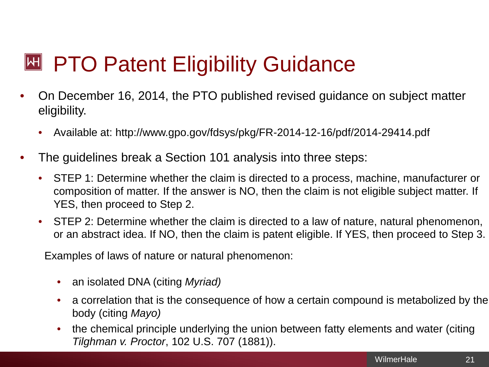# **E PTO Patent Eligibility Guidance**

- On December 16, 2014, the PTO published revised guidance on subject matter eligibility.
	- Available at: http://www.gpo.gov/fdsys/pkg/FR-2014-12-16/pdf/2014-29414.pdf
- The quidelines break a Section 101 analysis into three steps:
	- STEP 1: Determine whether the claim is directed to a process, machine, manufacturer or composition of matter. If the answer is NO, then the claim is not eligible subject matter. If YES, then proceed to Step 2.
	- STEP 2: Determine whether the claim is directed to a law of nature, natural phenomenon, or an abstract idea. If NO, then the claim is patent eligible. If YES, then proceed to Step 3.

Examples of laws of nature or natural phenomenon:

- an isolated DNA (citing *Myriad)*
- a correlation that is the consequence of how a certain compound is metabolized by the body (citing *Mayo)*
- the chemical principle underlying the union between fatty elements and water (citing *Tilghman v. Proctor*, 102 U.S. 707 (1881)).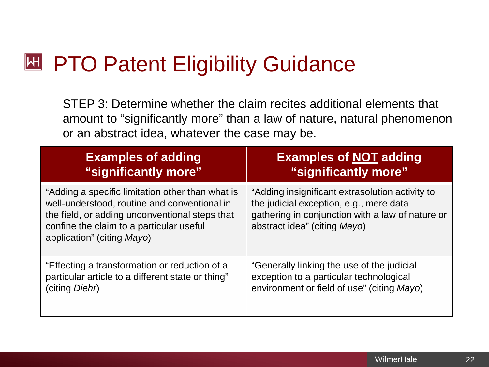#### $\blacktriangleright$ PTO Patent Eligibility Guidance

STEP 3: Determine whether the claim recites additional elements that amount to "significantly more" than a law of nature, natural phenomenon or an abstract idea, whatever the case may be.

| <b>Examples of adding</b>                                                                                                                                                                                                    | <b>Examples of NOT adding</b>                                                                                                                                                  |
|------------------------------------------------------------------------------------------------------------------------------------------------------------------------------------------------------------------------------|--------------------------------------------------------------------------------------------------------------------------------------------------------------------------------|
| "significantly more"                                                                                                                                                                                                         | "significantly more"                                                                                                                                                           |
| "Adding a specific limitation other than what is<br>well-understood, routine and conventional in<br>the field, or adding unconventional steps that<br>confine the claim to a particular useful<br>application" (citing Mayo) | "Adding insignificant extrasolution activity to<br>the judicial exception, e.g., mere data<br>gathering in conjunction with a law of nature or<br>abstract idea" (citing Mayo) |
| "Effecting a transformation or reduction of a                                                                                                                                                                                | "Generally linking the use of the judicial                                                                                                                                     |
| particular article to a different state or thing"                                                                                                                                                                            | exception to a particular technological                                                                                                                                        |
| (citing <i>Diehr</i> )                                                                                                                                                                                                       | environment or field of use" (citing Mayo)                                                                                                                                     |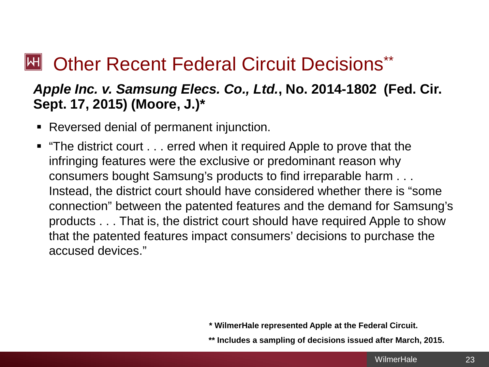#### **Other Recent Federal Circuit Decisions\*\***  $\left\Vert \mathsf{H}\right\Vert$

### *Apple Inc. v. Samsung Elecs. Co., Ltd.***, No. 2014-1802 (Fed. Cir. Sept. 17, 2015) (Moore, J.)\***

- Reversed denial of permanent injunction.
- "The district court . . . erred when it required Apple to prove that the infringing features were the exclusive or predominant reason why consumers bought Samsung's products to find irreparable harm . . . Instead, the district court should have considered whether there is "some connection" between the patented features and the demand for Samsung's products . . . That is, the district court should have required Apple to show that the patented features impact consumers' decisions to purchase the accused devices."

**\* WilmerHale represented Apple at the Federal Circuit.**

**\*\* Includes a sampling of decisions issued after March, 2015.**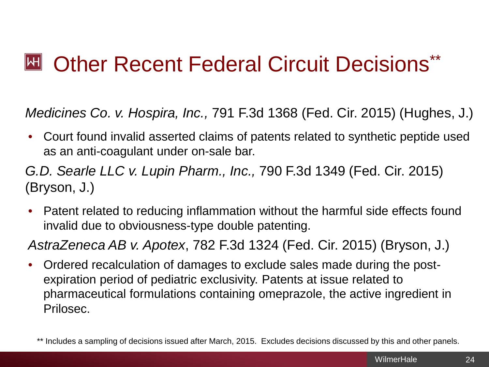#### **Other Recent Federal Circuit Decisions\***\*  $\mathbb H$

*Medicines Co. v. Hospira, Inc.,* 791 F.3d 1368 (Fed. Cir. 2015) (Hughes, J.)

• Court found invalid asserted claims of patents related to synthetic peptide used as an anti-coagulant under on-sale bar.

*G.D. Searle LLC v. Lupin Pharm., Inc.,* 790 F.3d 1349 (Fed. Cir. 2015) (Bryson, J.)

• Patent related to reducing inflammation without the harmful side effects found invalid due to obviousness-type double patenting.

*AstraZeneca AB v. Apotex*, 782 F.3d 1324 (Fed. Cir. 2015) (Bryson, J.)

• Ordered recalculation of damages to exclude sales made during the postexpiration period of pediatric exclusivity. Patents at issue related to pharmaceutical formulations containing omeprazole, the active ingredient in Prilosec.

<sup>\*\*</sup> Includes a sampling of decisions issued after March, 2015. Excludes decisions discussed by this and other panels.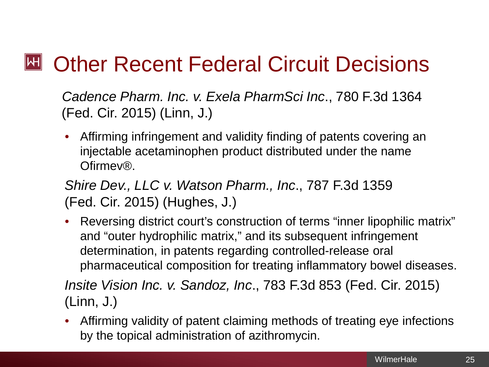#### $\mathbb H$ Other Recent Federal Circuit Decisions

*Cadence Pharm. Inc. v. Exela PharmSci Inc*., 780 F.3d 1364 (Fed. Cir. 2015) (Linn, J.)

• Affirming infringement and validity finding of patents covering an injectable acetaminophen product distributed under the name Ofirmev®.

*Shire Dev., LLC v. Watson Pharm., Inc*., 787 F.3d 1359 (Fed. Cir. 2015) (Hughes, J.)

• Reversing district court's construction of terms "inner lipophilic matrix" and "outer hydrophilic matrix," and its subsequent infringement determination, in patents regarding controlled-release oral pharmaceutical composition for treating inflammatory bowel diseases.

*Insite Vision Inc. v. Sandoz, Inc*., 783 F.3d 853 (Fed. Cir. 2015) (Linn, J.)

• Affirming validity of patent claiming methods of treating eye infections by the topical administration of azithromycin.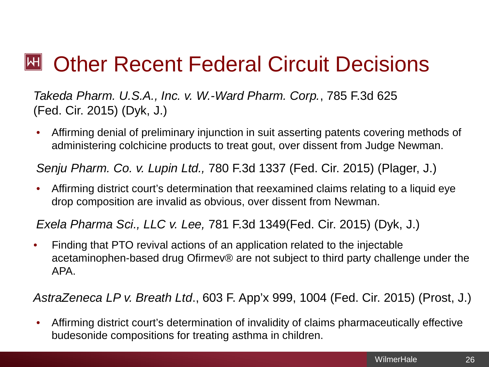# Other Recent Federal Circuit Decisions

*Takeda Pharm. U.S.A., Inc. v. W.-Ward Pharm. Corp.*, 785 F.3d 625 (Fed. Cir. 2015) (Dyk, J.)

• Affirming denial of preliminary injunction in suit asserting patents covering methods of administering colchicine products to treat gout, over dissent from Judge Newman.

*Senju Pharm. Co. v. Lupin Ltd.,* 780 F.3d 1337 (Fed. Cir. 2015) (Plager, J.)

• Affirming district court's determination that reexamined claims relating to a liquid eye drop composition are invalid as obvious, over dissent from Newman.

*Exela Pharma Sci., LLC v. Lee,* 781 F.3d 1349(Fed. Cir. 2015) (Dyk, J.)

• Finding that PTO revival actions of an application related to the injectable acetaminophen-based drug Ofirmev® are not subject to third party challenge under the APA.

*AstraZeneca LP v. Breath Ltd*., 603 F. App'x 999, 1004 (Fed. Cir. 2015) (Prost, J.)

• Affirming district court's determination of invalidity of claims pharmaceutically effective budesonide compositions for treating asthma in children.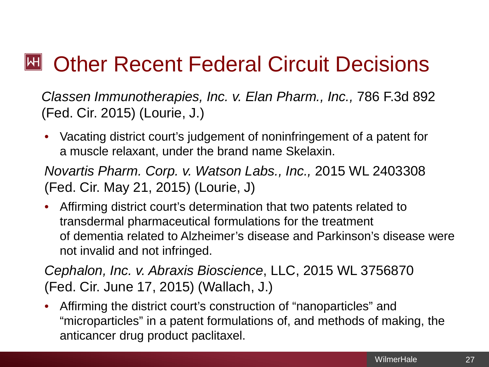#### $\mathsf{|\mathsf{H}|}$ Other Recent Federal Circuit Decisions

*Classen Immunotherapies, Inc. v. Elan Pharm., Inc.,* 786 F.3d 892 (Fed. Cir. 2015) (Lourie, J.)

• Vacating district court's judgement of noninfringement of a patent for a muscle relaxant, under the brand name Skelaxin.

*Novartis Pharm. Corp. v. Watson Labs., Inc.,* 2015 WL 2403308 (Fed. Cir. May 21, 2015) (Lourie, J)

• Affirming district court's determination that two patents related to transdermal pharmaceutical formulations for the treatment of dementia related to Alzheimer's disease and Parkinson's disease were not invalid and not infringed.

*Cephalon, Inc. v. Abraxis Bioscience*, LLC, 2015 WL 3756870 (Fed. Cir. June 17, 2015) (Wallach, J.)

• Affirming the district court's construction of "nanoparticles" and "microparticles" in a patent formulations of, and methods of making, the anticancer drug product paclitaxel.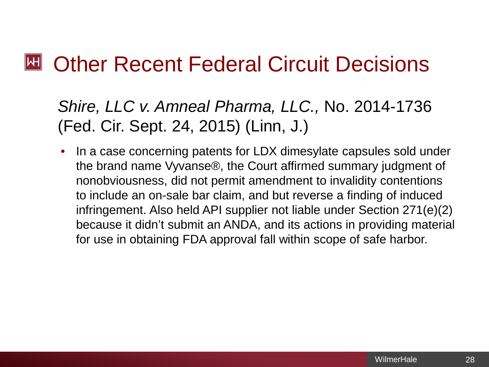#### $\mathbb H$ Other Recent Federal Circuit Decisions

*Shire, LLC v. Amneal Pharma, LLC.,* No. 2014-1736 (Fed. Cir. Sept. 24, 2015) (Linn, J.)

• In a case concerning patents for LDX dimesylate capsules sold under the brand name Vyvanse®, the Court affirmed summary judgment of nonobviousness, did not permit amendment to invalidity contentions to include an on-sale bar claim, and but reverse a finding of induced infringement. Also held API supplier not liable under Section 271(e)(2) because it didn't submit an ANDA, and its actions in providing material for use in obtaining FDA approval fall within scope of safe harbor.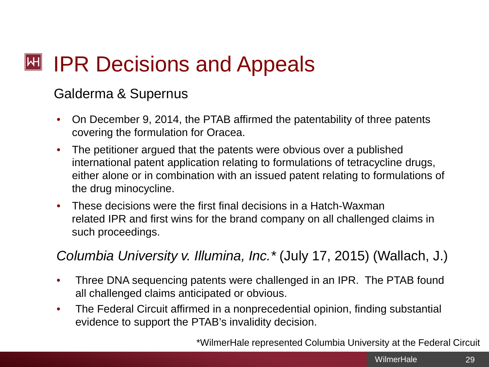# **EXT IPR Decisions and Appeals**

### Galderma & Supernus

- On December 9, 2014, the PTAB affirmed the patentability of three patents covering the formulation for Oracea.
- The petitioner argued that the patents were obvious over a published international patent application relating to formulations of tetracycline drugs, either alone or in combination with an issued patent relating to formulations of the drug minocycline.
- These decisions were the first final decisions in a Hatch-Waxman related IPR and first wins for the brand company on all challenged claims in such proceedings.

*Columbia University v. Illumina, Inc.\** (July 17, 2015) (Wallach, J.)

- Three DNA sequencing patents were challenged in an IPR. The PTAB found all challenged claims anticipated or obvious.
- The Federal Circuit affirmed in a nonprecedential opinion, finding substantial evidence to support the PTAB's invalidity decision.

\*WilmerHale represented Columbia University at the Federal Circuit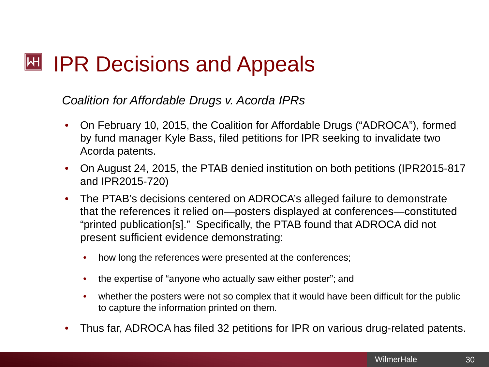# **EXT IPR Decisions and Appeals**

### *Coalition for Affordable Drugs v. Acorda IPRs*

- On February 10, 2015, the Coalition for Affordable Drugs ("ADROCA"), formed by fund manager Kyle Bass, filed petitions for IPR seeking to invalidate two Acorda patents.
- On August 24, 2015, the PTAB denied institution on both petitions (IPR2015-817 and IPR2015-720)
- The PTAB's decisions centered on ADROCA's alleged failure to demonstrate that the references it relied on—posters displayed at conferences—constituted "printed publication[s]." Specifically, the PTAB found that ADROCA did not present sufficient evidence demonstrating:
	- how long the references were presented at the conferences;
	- the expertise of "anyone who actually saw either poster"; and
	- whether the posters were not so complex that it would have been difficult for the public to capture the information printed on them.
- Thus far, ADROCA has filed 32 petitions for IPR on various drug-related patents.